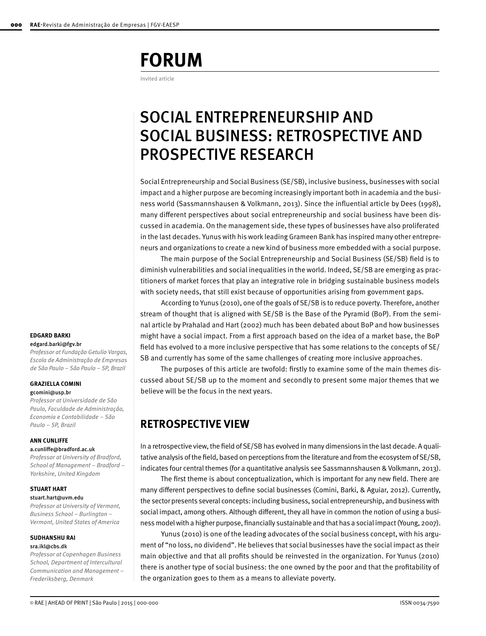# **FORUM**

Invited article

## SOCIAL ENTREPRENEURSHIP AND SOCIAL BUSINESS: RETROSPECTIVE AND PROSPECTIVE RESEARCH

Social Entrepreneurship and Social Business (SE/SB), inclusive business, businesses with social impact and a higher purpose are becoming increasingly important both in academia and the business world (Sassmannshausen & Volkmann, 2013). Since the influential article by Dees (1998), many different perspectives about social entrepreneurship and social business have been discussed in academia. On the management side, these types of businesses have also proliferated in the last decades. Yunus with his work leading Grameen Bank has inspired many other entrepreneurs and organizations to create a new kind of business more embedded with a social purpose.

The main purpose of the Social Entrepreneurship and Social Business (SE/SB) field is to diminish vulnerabilities and social inequalities in the world. Indeed, SE/SB are emerging as practitioners of market forces that play an integrative role in bridging sustainable business models with society needs, that still exist because of opportunities arising from government gaps.

According to Yunus (2010), one of the goals of SE/SB is to reduce poverty. Therefore, another stream of thought that is aligned with SE/SB is the Base of the Pyramid (BoP). From the seminal article by Prahalad and Hart (2002) much has been debated about BoP and how businesses might have a social impact. From a first approach based on the idea of a market base, the BoP field has evolved to a more inclusive perspective that has some relations to the concepts of SE/ SB and currently has some of the same challenges of creating more inclusive approaches.

The purposes of this article are twofold: firstly to examine some of the main themes discussed about SE/SB up to the moment and secondly to present some major themes that we believe will be the focus in the next years.

## **RETROSPECTIVE VIEW**

In a retrospective view, the field of SE/SB has evolved in many dimensions in the last decade. A qualitative analysis of the field, based on perceptions from the literature and from the ecosystem of SE/SB, indicates four central themes (for a quantitative analysis see Sassmannshausen & Volkmann, 2013).

The first theme is about conceptualization, which is important for any new field. There are many different perspectives to define social businesses (Comini, Barki, & Aguiar, 2012). Currently, the sector presents several concepts: including business, social entrepreneurship, and business with social impact, among others. Although different, they all have in common the notion of using a business model with a higher purpose, financially sustainable and that has a social impact (Young, 2007).

Yunus (2010) is one of the leading advocates of the social business concept, with his argument of "no loss, no dividend". He believes that social businesses have the social impact as their main objective and that all profits should be reinvested in the organization. For Yunus (2010) there is another type of social business: the one owned by the poor and that the profitability of the organization goes to them as a means to alleviate poverty.

#### **EDGARD BARKI** edgard.barki@fgv.br

*Professor at Fundação Getulio Vargas, Escola de Administração de Empresas de São Paulo – São Paulo – SP, Brazil*

### **GRAZIELLA COMINI**

#### gcomini@usp.br

*Professor at Universidade de São Paulo, Faculdade de Administração, Economia e Contabilidade – São Paulo – SP, Brazil*

#### **ANN CUNLIFFE**

#### a.cunliffe@bradford.ac.uk

*Professor at University of Bradford, School of Management – Bradford – Yorkshire, United Kingdom* 

## **STUART HART**

#### stuart.hart@uvm.edu

*Professor at University of Vermont, Business School – Burlington – Vermont, United States of America*

#### **SUDHANSHU RAI**  sra.ikl@cbs.dk

*Professor at Copenhagen Business School, Department of Intercultural Communication and Management – Frederiksberg, Denmark*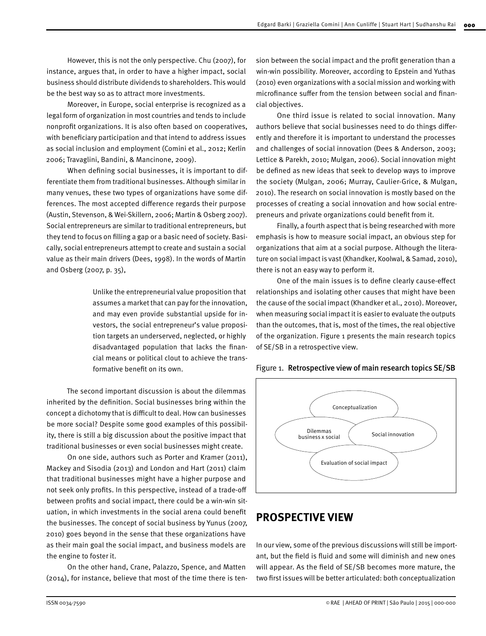However, this is not the only perspective. Chu (2007), for instance, argues that, in order to have a higher impact, social business should distribute dividends to shareholders. This would be the best way so as to attract more investments.

Moreover, in Europe, social enterprise is recognized as a legal form of organization in most countries and tends to include nonprofit organizations. It is also often based on cooperatives, with beneficiary participation and that intend to address issues as social inclusion and employment (Comini et al., 2012; Kerlin 2006; Travaglini, Bandini, & Mancinone, 2009).

When defining social businesses, it is important to differentiate them from traditional businesses. Although similar in many venues, these two types of organizations have some differences. The most accepted difference regards their purpose (Austin, Stevenson, & Wei-Skillern, 2006; Martin & Osberg 2007). Social entrepreneurs are similar to traditional entrepreneurs, but they tend to focus on filling a gap or a basic need of society. Basically, social entrepreneurs attempt to create and sustain a social value as their main drivers (Dees, 1998). In the words of Martin and Osberg (2007, p. 35),

> Unlike the entrepreneurial value proposition that assumes a market that can pay for the innovation, and may even provide substantial upside for investors, the social entrepreneur's value proposition targets an underserved, neglected, or highly disadvantaged population that lacks the financial means or political clout to achieve the transformative benefit on its own.

The second important discussion is about the dilemmas inherited by the definition. Social businesses bring within the concept a dichotomy that is difficult to deal. How can businesses be more social? Despite some good examples of this possibility, there is still a big discussion about the positive impact that traditional businesses or even social businesses might create.

On one side, authors such as Porter and Kramer (2011), Mackey and Sisodia (2013) and London and Hart (2011) claim that traditional businesses might have a higher purpose and not seek only profits. In this perspective, instead of a trade-off between profits and social impact, there could be a win-win situation, in which investments in the social arena could benefit the businesses. The concept of social business by Yunus (2007, 2010) goes beyond in the sense that these organizations have as their main goal the social impact, and business models are the engine to foster it.

On the other hand, Crane, Palazzo, Spence, and Matten (2014), for instance, believe that most of the time there is ten-

sion between the social impact and the profit generation than a win-win possibility. Moreover, according to Epstein and Yuthas (2010) even organizations with a social mission and working with microfinance suffer from the tension between social and financial objectives.

One third issue is related to social innovation. Many authors believe that social businesses need to do things differently and therefore it is important to understand the processes and challenges of social innovation (Dees & Anderson, 2003; Lettice & Parekh, 2010; Mulgan, 2006). Social innovation might be defined as new ideas that seek to develop ways to improve the society (Mulgan, 2006; Murray, Caulier-Grice, & Mulgan, 2010). The research on social innovation is mostly based on the processes of creating a social innovation and how social entrepreneurs and private organizations could benefit from it.

Finally, a fourth aspect that is being researched with more emphasis is how to measure social impact, an obvious step for organizations that aim at a social purpose. Although the literature on social impact is vast (Khandker, Koolwal, & Samad, 2010), there is not an easy way to perform it.

One of the main issues is to define clearly cause-effect relationships and isolating other causes that might have been the cause of the social impact (Khandker et al., 2010). Moreover, when measuring social impact it is easier to evaluate the outputs than the outcomes, that is, most of the times, the real objective of the organization. Figure 1 presents the main research topics of SE/SB in a retrospective view.





## **PROSPECTIVE VIEW**

In our view, some of the previous discussions will still be important, but the field is fluid and some will diminish and new ones will appear. As the field of SE/SB becomes more mature, the two first issues will be better articulated: both conceptualization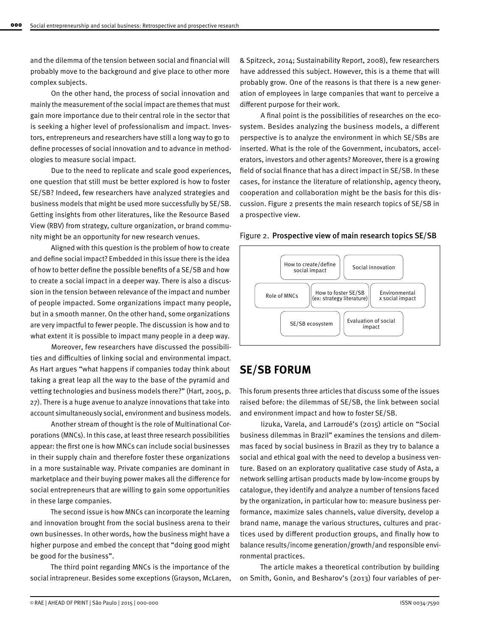and the dilemma of the tension between social and financial will probably move to the background and give place to other more complex subjects.

On the other hand, the process of social innovation and mainly the measurement of the social impact are themes that must gain more importance due to their central role in the sector that is seeking a higher level of professionalism and impact. Investors, entrepreneurs and researchers have still a long way to go to define processes of social innovation and to advance in methodologies to measure social impact.

Due to the need to replicate and scale good experiences, one question that still must be better explored is how to foster SE/SB? Indeed, few researchers have analyzed strategies and business models that might be used more successfully by SE/SB. Getting insights from other literatures, like the Resource Based View (RBV) from strategy, culture organization, or brand community might be an opportunity for new research venues.

Aligned with this question is the problem of how to create and define social impact? Embedded in this issue there is the idea of how to better define the possible benefits of a SE/SB and how to create a social impact in a deeper way. There is also a discussion in the tension between relevance of the impact and number of people impacted. Some organizations impact many people, but in a smooth manner. On the other hand, some organizations are very impactful to fewer people. The discussion is how and to what extent it is possible to impact many people in a deep way.

Moreover, few researchers have discussed the possibilities and difficulties of linking social and environmental impact. As Hart argues "what happens if companies today think about taking a great leap all the way to the base of the pyramid and vetting technologies and business models there?" (Hart, 2005, p. 27). There is a huge avenue to analyze innovations that take into account simultaneously social, environment and business models.

Another stream of thought is the role of Multinational Corporations (MNCs). In this case, at least three research possibilities appear: the first one is how MNCs can include social businesses in their supply chain and therefore foster these organizations in a more sustainable way. Private companies are dominant in marketplace and their buying power makes all the difference for social entrepreneurs that are willing to gain some opportunities in these large companies.

The second issue is how MNCs can incorporate the learning and innovation brought from the social business arena to their own businesses. In other words, how the business might have a higher purpose and embed the concept that "doing good might be good for the business".

The third point regarding MNCs is the importance of the social intrapreneur. Besides some exceptions (Grayson, McLaren, & Spitzeck, 2014; Sustainability Report, 2008), few researchers have addressed this subject. However, this is a theme that will probably grow. One of the reasons is that there is a new generation of employees in large companies that want to perceive a different purpose for their work.

A final point is the possibilities of researches on the ecosystem. Besides analyzing the business models, a different perspective is to analyze the environment in which SE/SBs are inserted. What is the role of the Government, incubators, accelerators, investors and other agents? Moreover, there is a growing field of social finance that has a direct impact in SE/SB. In these cases, for instance the literature of relationship, agency theory, cooperation and collaboration might be the basis for this discussion. Figure 2 presents the main research topics of SE/SB in a prospective view.





### **SE/SB FORUM**

This forum presents three articles that discuss some of the issues raised before: the dilemmas of SE/SB, the link between social and environment impact and how to foster SE/SB.

Iizuka, Varela, and Larroudé's (2015) article on "Social business dilemmas in Brazil" examines the tensions and dilemmas faced by social business in Brazil as they try to balance a social and ethical goal with the need to develop a business venture. Based on an exploratory qualitative case study of Asta, a network selling artisan products made by low-income groups by catalogue, they identify and analyze a number of tensions faced by the organization, in particular how to: measure business performance, maximize sales channels, value diversity, develop a brand name, manage the various structures, cultures and practices used by different production groups, and finally how to balance results/income generation/growth/and responsible environmental practices.

The article makes a theoretical contribution by building on Smith, Gonin, and Besharov's (2013) four variables of per-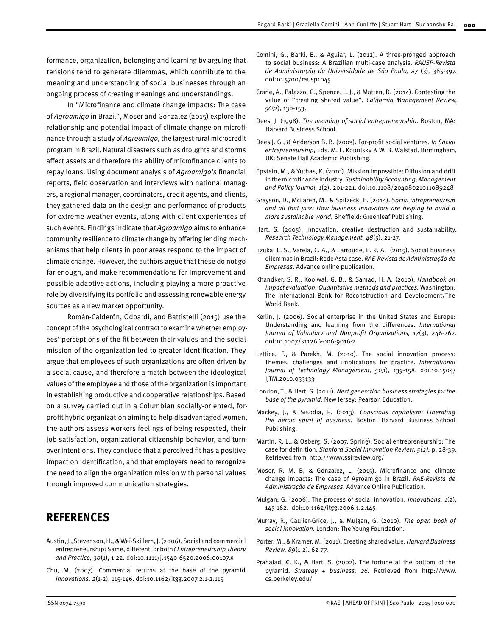formance, organization, belonging and learning by arguing that tensions tend to generate dilemmas, which contribute to the meaning and understanding of social businesses through an ongoing process of creating meanings and understandings.

In "Microfinance and climate change impacts: The case of *Agroamigo* in Brazil", Moser and Gonzalez (2015) explore the relationship and potential impact of climate change on microfinance through a study of *Agroamigo*, the largest rural microcredit program in Brazil. Natural disasters such as droughts and storms affect assets and therefore the ability of microfinance clients to repay loans. Using document analysis of *Agroamigo's* financial reports, field observation and interviews with national managers, a regional manager, coordinators, credit agents, and clients, they gathered data on the design and performance of products for extreme weather events, along with client experiences of such events. Findings indicate that *Agroamigo* aims to enhance community resilience to climate change by offering lending mechanisms that help clients in poor areas respond to the impact of climate change. However, the authors argue that these do not go far enough, and make recommendations for improvement and possible adaptive actions, including playing a more proactive role by diversifying its portfolio and assessing renewable energy sources as a new market opportunity.

Román-Calderón, Odoardi, and Battistelli (2015) use the concept of the psychological contract to examine whether employees' perceptions of the fit between their values and the social mission of the organization led to greater identification. They argue that employees of such organizations are often driven by a social cause, and therefore a match between the ideological values of the employee and those of the organization is important in establishing productive and cooperative relationships. Based on a survey carried out in a Columbian socially-oriented, forprofit hybrid organization aiming to help disadvantaged women, the authors assess workers feelings of being respected, their job satisfaction, organizational citizenship behavior, and turnover intentions. They conclude that a perceived fit has a positive impact on identification, and that employers need to recognize the need to align the organization mission with personal values through improved communication strategies.

## **REFERENCES**

- Austin, J., Stevenson, H., & Wei-Skillern, J. (2006). Social and commercial entrepreneurship: Same, different, or both? *Entrepreneurship Theory and Practice, 30*(1), 1-22. doi:10.1111/j.1540-6520.2006.00107.x
- Chu, M. (2007). Commercial returns at the base of the pyramid. *Innovations, 2*(1-2), 115-146. doi:10.1162/itgg.2007.2.1-2.115
- Comini, G., Barki, E., & Aguiar, L. (2012). A three-pronged approach to social business: A Brazilian multi-case analysis. *RAUSP-Revista de Administração da Universidade de São Paulo, 47* (3), 385-397. doi:10.5700/rausp1045
- Crane, A., Palazzo, G., Spence, L. J., & Matten, D. (2014). Contesting the value of "creating shared value". *California Management Review, 56*(2), 130-153.
- Dees, J. (1998). *The meaning of social entrepreneurship*. Boston, MA: Harvard Business School.
- Dees J. G., & Anderson B. B. (2003). For-profit social ventures. *In Social entrepreneurship,* Eds. M. L. Kourilsky & W. B. Walstad. Birmingham, UK: Senate Hall Academic Publishing.
- Epstein, M., & Yuthas, K. (2010). Mission impossible: Diffusion and drift in the microfinance industry. *Sustainability Accounting, Management and Policy Journal, 1*(2), 201-221. doi:10.1108/20408021011089248
- Grayson, D., McLaren, M., & Spitzeck, H. (2014). *Social intrapreneurism and all that jazz: How business innovators are helping to build a more sustainable world.* Sheffield: Greenleaf Publishing.
- Hart, S. (2005). Innovation, creative destruction and sustainability. *Research Technology Management, 48*(5), 21-27.
- Iizuka, E. S., Varela, C. A., & Larroudé, E. R. A. (2015). Social business dilemmas in Brazil: Rede Asta case. *RAE-Revista de Administração de Empresas*. Advance online publication.
- Khandker, S. R., Koolwal, G. B., & Samad, H. A. (2010). *Handbook on impact evaluation: Quantitative methods and practices.* Washington: The International Bank for Reconstruction and Development/The World Bank.
- Kerlin, J. (2006). Social enterprise in the United States and Europe: Understanding and learning from the differences. *International Journal of Voluntary and Nonprofit Organizations, 17*(3), 246-262. doi:10.1007/s11266-006-9016-2
- Lettice, F., & Parekh, M. (2010). The social innovation process: Themes, challenges and implications for practice. *International Journal of Technology Management, 51*(1), 139-158. doi:10.1504/ IJTM.2010.033133
- London, T., & Hart, S. (2011). *Next generation business strategies for the base of the pyramid.* New Jersey: Pearson Education.
- Mackey, J., & Sisodia, R. (2013). *Conscious capitalism: Liberating the heroic spirit of business.* Boston: Harvard Business School Publishing.
- Martin, R. L., & Osberg, S. (2007, Spring). Social entrepreneurship: The case for definition. *Stanford Social Innovation Review, 5(2),* p. 28-39. Retrieved from http://www.ssireview.org/
- Moser, R. M. B, & Gonzalez, L. (2015). Microfinance and climate change impacts: The case of Agroamigo in Brazil. *RAE-Revista de Administração de Empresas*. Advance Online Publication.
- Mulgan, G. (2006). The process of social innovation. *Innovations, 1*(2), 145-162. doi:10.1162/itgg.2006.1.2.145
- Murray, R., Caulier-Grice, J., & Mulgan, G. (2010). *The open book of social innovation.* London: The Young Foundation.
- Porter, M., & Kramer, M. (2011). Creating shared value. *Harvard Business Review, 89*(1-2), 62-77.
- Prahalad, C. K., & Hart, S. (2002). The fortune at the bottom of the pyramid. *Strategy + business, 26.* Retrieved from http://www. cs.berkeley.edu/